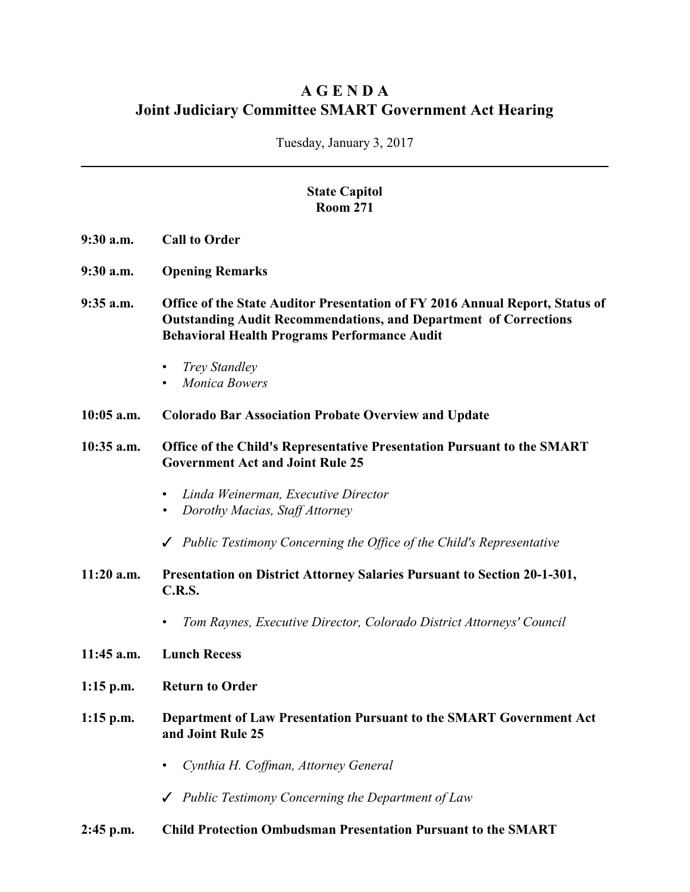## **A G E N D A Joint Judiciary Committee SMART Government Act Hearing**

Tuesday, January 3, 2017

## **State Capitol Room 271**

- **9:30 a.m. Call to Order**
- **9:30 a.m. Opening Remarks**
- **9:35 a.m. Office of the State Auditor Presentation of FY 2016 Annual Report, Status of Outstanding Audit Recommendations, and Department of Corrections Behavioral Health Programs Performance Audit**
	- *Trey Standley*
	- *Monica Bowers*
- **10:05 a.m. Colorado Bar Association Probate Overview and Update**

**10:35 a.m. Office of the Child's Representative Presentation Pursuant to the SMART Government Act and Joint Rule 25**

- *Linda Weinerman, Executive Director*
- *• Dorothy Macias, Staff Attorney*
- T *Public Testimony Concerning the Office of the Child's Representative*
- **11:20 a.m. Presentation on District Attorney Salaries Pursuant to Section 20-1-301, C.R.S.**
	- *Tom Raynes, Executive Director, Colorado District Attorneys' Council*
- **11:45 a.m. Lunch Recess**
- **1:15 p.m. Return to Order**
- **1:15 p.m. Department of Law Presentation Pursuant to the SMART Government Act and Joint Rule 25**
	- *Cynthia H. Coffman, Attorney General*
	- T *Public Testimony Concerning the Department of Law*
- **2:45 p.m. Child Protection Ombudsman Presentation Pursuant to the SMART**